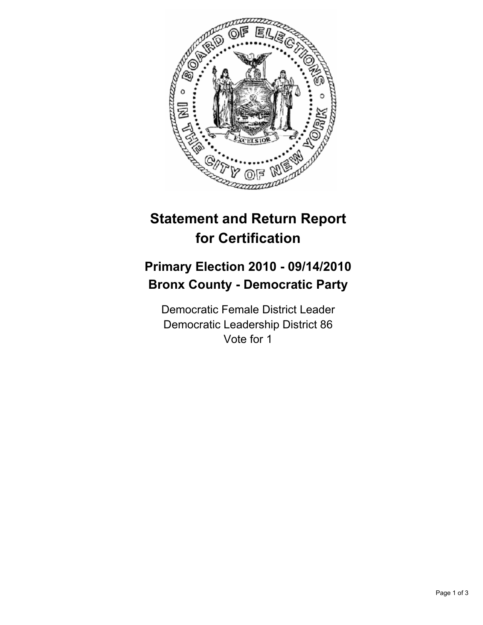

## **Statement and Return Report for Certification**

## **Primary Election 2010 - 09/14/2010 Bronx County - Democratic Party**

Democratic Female District Leader Democratic Leadership District 86 Vote for 1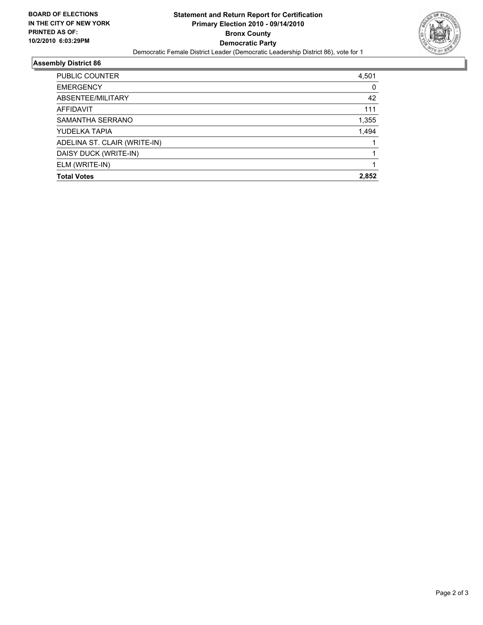

## **Assembly District 86**

| <b>PUBLIC COUNTER</b>        | 4,501 |
|------------------------------|-------|
| <b>EMERGENCY</b>             | 0     |
| ABSENTEE/MILITARY            | 42    |
| <b>AFFIDAVIT</b>             | 111   |
| SAMANTHA SERRANO             | 1,355 |
| YUDELKA TAPIA                | 1,494 |
| ADELINA ST. CLAIR (WRITE-IN) |       |
| DAISY DUCK (WRITE-IN)        |       |
| ELM (WRITE-IN)               |       |
| <b>Total Votes</b>           | 2,852 |
|                              |       |